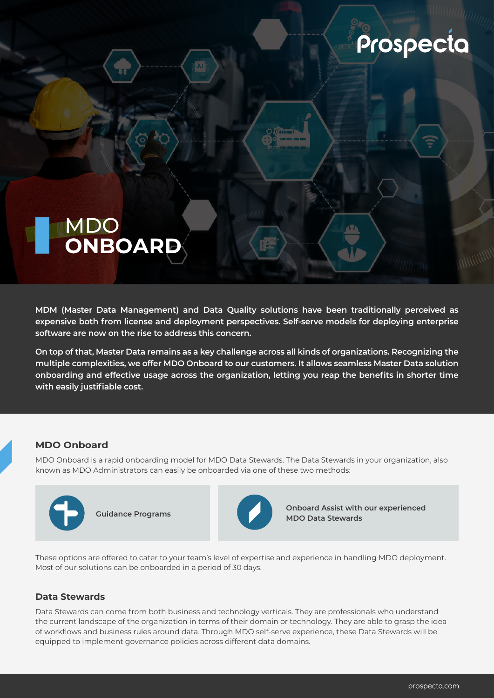# Prospecta

## MDO **ONBOARD**

**MDM (Master Data Management) and Data Quality solutions have been traditionally perceived as expensive both from license and deployment perspectives. Self-serve models for deploying enterprise software are now on the rise to address this concern.** 

**On top of that, Master Data remains as a key challenge across all kinds of organizations. Recognizing the multiple complexities, we offer MDO Onboard to our customers. It allows seamless Master Data solution onboarding and effective usage across the organization, letting you reap the benefits in shorter time with easily justifiable cost.** 

#### **MDO Onboard**

 $\blacksquare$ 

MDO Onboard is a rapid onboarding model for MDO Data Stewards. The Data Stewards in your organization, also known as MDO Administrators can easily be onboarded via one of these two methods:





**Onboard Assist with our experienced Guidance Programs Guidance Programs Guidance Programs** 

These options are offered to cater to your team's level of expertise and experience in handling MDO deployment. Most of our solutions can be onboarded in a period of 30 days.

#### **Data Stewards**

Data Stewards can come from both business and technology verticals. They are professionals who understand the current landscape of the organization in terms of their domain or technology. They are able to grasp the idea of workflows and business rules around data. Through MDO self-serve experience, these Data Stewards will be equipped to implement governance policies across different data domains.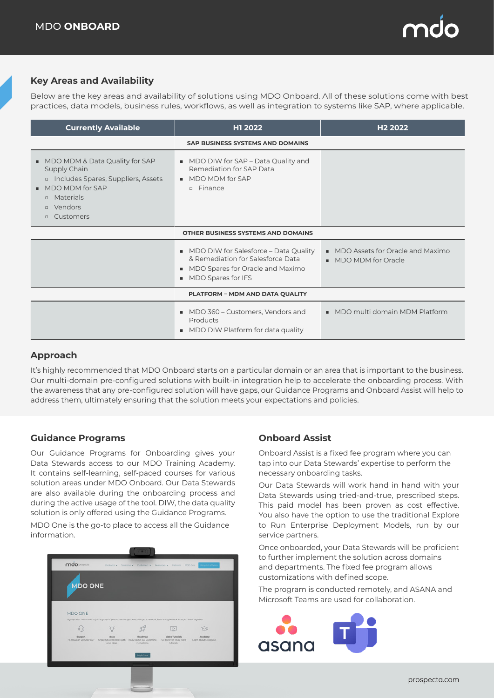

#### **Key Areas and Availability**

Below are the key areas and availability of solutions using MDO Onboard. All of these solutions come with best practices, data models, business rules, workflows, as well as integration to systems like SAP, where applicable.

| <b>Currently Available</b>                                                                                                                                                             | H1 2022                                                                                                                                  | H <sub>2</sub> 2022                                        |  |  |  |
|----------------------------------------------------------------------------------------------------------------------------------------------------------------------------------------|------------------------------------------------------------------------------------------------------------------------------------------|------------------------------------------------------------|--|--|--|
| <b>SAP BUSINESS SYSTEMS AND DOMAINS</b>                                                                                                                                                |                                                                                                                                          |                                                            |  |  |  |
| MDO MDM & Data Quality for SAP<br>ш.<br>Supply Chain<br>n Includes Spares, Suppliers, Assets<br>MDO MDM for SAP<br>п.<br><b>D</b> Materials<br><b>D</b> Vendors<br>Customers<br>$\Box$ | • MDO DIW for SAP – Data Quality and<br>Remediation for SAP Data<br>■ MDO MDM for SAP<br>Finance<br>$\Box$                               |                                                            |  |  |  |
|                                                                                                                                                                                        | <b>OTHER BUSINESS SYSTEMS AND DOMAINS</b>                                                                                                |                                                            |  |  |  |
|                                                                                                                                                                                        | • MDO DIW for Salesforce – Data Quality<br>& Remediation for Salesforce Data<br>• MDO Spares for Oracle and Maximo<br>MDO Spares for IFS | • MDO Assets for Oracle and Maximo<br>• MDO MDM for Oracle |  |  |  |
|                                                                                                                                                                                        | PLATFORM - MDM AND DATA QUALITY                                                                                                          |                                                            |  |  |  |
|                                                                                                                                                                                        | • MDO 360 – Customers, Vendors and<br>Products<br>• MDO DIW Platform for data quality                                                    | • MDO multi domain MDM Platform                            |  |  |  |

### **Approach**

It's highly recommended that MDO Onboard starts on a particular domain or an area that is important to the business. Our multi-domain pre-configured solutions with built-in integration help to accelerate the onboarding process. With the awareness that any pre-configured solution will have gaps, our Guidance Programs and Onboard Assist will help to address them, ultimately ensuring that the solution meets your expectations and policies.

#### **Guidance Programs**

Our Guidance Programs for Onboarding gives your Data Stewards access to our MDO Training Academy. It contains self-learning, self-paced courses for various solution areas under MDO Onboard. Our Data Stewards are also available during the onboarding process and during the active usage of the tool. DIW, the data quality solution is only offered using the Guidance Programs.

MDO One is the go-to place to access all the Guidance information.



### **Onboard Assist**

Onboard Assist is a fixed fee program where you can tap into our Data Stewards' expertise to perform the necessary onboarding tasks.

Our Data Stewards will work hand in hand with your Data Stewards using tried-and-true, prescribed steps. This paid model has been proven as cost effective. You also have the option to use the traditional Explore to Run Enterprise Deployment Models, run by our service partners.

Once onboarded, your Data Stewards will be proficient to further implement the solution across domains and departments. The fixed fee program allows customizations with defined scope.

The program is conducted remotely, and ASANA and Microsoft Teams are used for collaboration.